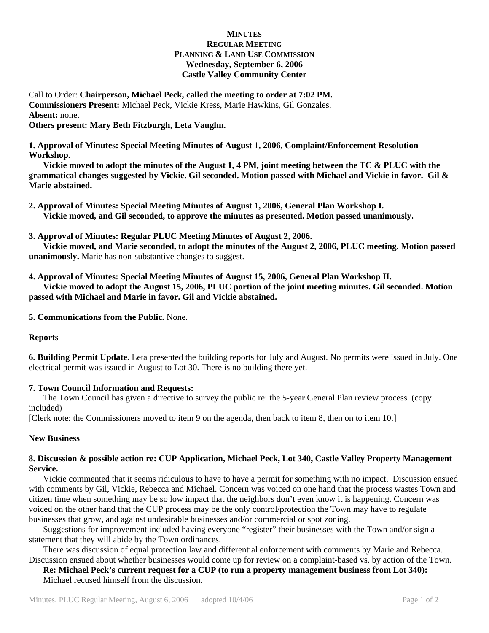# **MINUTES REGULAR MEETING PLANNING & LAND USE COMMISSION Wednesday, September 6, 2006 Castle Valley Community Center**

Call to Order: **Chairperson, Michael Peck, called the meeting to order at 7:02 PM. Commissioners Present:** Michael Peck, Vickie Kress, Marie Hawkins, Gil Gonzales. **Absent:** none.

**Others present: Mary Beth Fitzburgh, Leta Vaughn.** 

**1. Approval of Minutes: Special Meeting Minutes of August 1, 2006, Complaint/Enforcement Resolution Workshop.** 

 **Vickie moved to adopt the minutes of the August 1, 4 PM, joint meeting between the TC & PLUC with the grammatical changes suggested by Vickie. Gil seconded. Motion passed with Michael and Vickie in favor. Gil & Marie abstained.** 

**2. Approval of Minutes: Special Meeting Minutes of August 1, 2006, General Plan Workshop I. Vickie moved, and Gil seconded, to approve the minutes as presented. Motion passed unanimously.** 

**3. Approval of Minutes: Regular PLUC Meeting Minutes of August 2, 2006.** 

 **Vickie moved, and Marie seconded, to adopt the minutes of the August 2, 2006, PLUC meeting. Motion passed unanimously.** Marie has non-substantive changes to suggest.

**4. Approval of Minutes: Special Meeting Minutes of August 15, 2006, General Plan Workshop II.** 

 **Vickie moved to adopt the August 15, 2006, PLUC portion of the joint meeting minutes. Gil seconded. Motion passed with Michael and Marie in favor. Gil and Vickie abstained.** 

**5. Communications from the Public.** None.

#### **Reports**

**6. Building Permit Update.** Leta presented the building reports for July and August. No permits were issued in July. One electrical permit was issued in August to Lot 30. There is no building there yet.

# **7. Town Council Information and Requests:**

 The Town Council has given a directive to survey the public re: the 5-year General Plan review process. (copy included)

[Clerk note: the Commissioners moved to item 9 on the agenda, then back to item 8, then on to item 10.]

#### **New Business**

## **8. Discussion & possible action re: CUP Application, Michael Peck, Lot 340, Castle Valley Property Management Service.**

 Vickie commented that it seems ridiculous to have to have a permit for something with no impact. Discussion ensued with comments by Gil, Vickie, Rebecca and Michael. Concern was voiced on one hand that the process wastes Town and citizen time when something may be so low impact that the neighbors don't even know it is happening. Concern was voiced on the other hand that the CUP process may be the only control/protection the Town may have to regulate businesses that grow, and against undesirable businesses and/or commercial or spot zoning.

 Suggestions for improvement included having everyone "register" their businesses with the Town and/or sign a statement that they will abide by the Town ordinances.

 There was discussion of equal protection law and differential enforcement with comments by Marie and Rebecca. Discussion ensued about whether businesses would come up for review on a complaint-based vs. by action of the Town.

**Re: Michael Peck's current request for a CUP (to run a property management business from Lot 340):** Michael recused himself from the discussion.